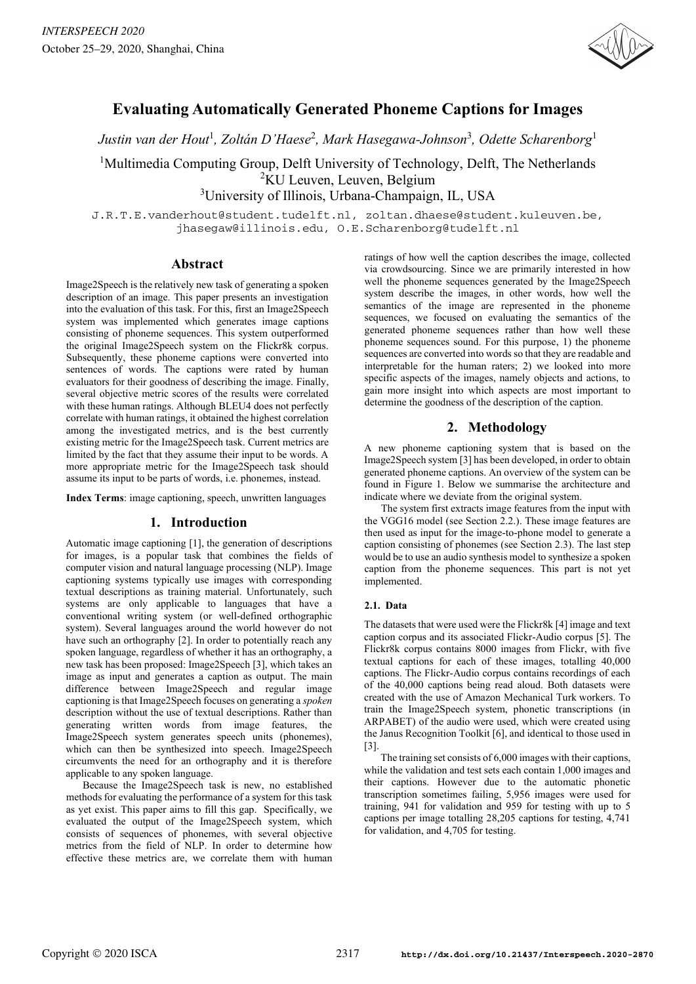

# **Evaluating Automatically Generated Phoneme Captions for Images**

 $J$ ustin van der Hout<sup>1</sup>, Zoltán D'Haese<sup>2</sup>, Mark Hasegawa-Johnson<sup>3</sup>, Odette Scharenborg<sup>1</sup>

<sup>1</sup>Multimedia Computing Group, Delft University of Technology, Delft, The Netherlands <sup>2</sup>KU Leuven, Leuven, Belgium

<sup>3</sup>University of Illinois, Urbana-Champaign, IL, USA

J.R.T.E.vanderhout@student.tudelft.nl, zoltan.dhaese@student.kuleuven.be, jhasegaw@illinois.edu, O.E.Scharenborg@tudelft.nl

# **Abstract**

Image2Speech is the relatively new task of generating a spoken description of an image. This paper presents an investigation into the evaluation of this task. For this, first an Image2Speech system was implemented which generates image captions consisting of phoneme sequences. This system outperformed the original Image2Speech system on the Flickr8k corpus. Subsequently, these phoneme captions were converted into sentences of words. The captions were rated by human evaluators for their goodness of describing the image. Finally, several objective metric scores of the results were correlated with these human ratings. Although BLEU4 does not perfectly correlate with human ratings, it obtained the highest correlation among the investigated metrics, and is the best currently existing metric for the Image2Speech task. Current metrics are limited by the fact that they assume their input to be words. A more appropriate metric for the Image2Speech task should assume its input to be parts of words, i.e. phonemes, instead.

**Index Terms**: image captioning, speech, unwritten languages

# **1. Introduction**

Automatic image captioning [1], the generation of descriptions for images, is a popular task that combines the fields of computer vision and natural language processing (NLP). Image captioning systems typically use images with corresponding textual descriptions as training material. Unfortunately, such systems are only applicable to languages that have a conventional writing system (or well-defined orthographic system). Several languages around the world however do not have such an orthography [2]. In order to potentially reach any spoken language, regardless of whether it has an orthography, a new task has been proposed: Image2Speech [3], which takes an image as input and generates a caption as output. The main difference between Image2Speech and regular image captioning is that Image2Speech focuses on generating a *spoken* description without the use of textual descriptions. Rather than generating written words from image features, the Image2Speech system generates speech units (phonemes), which can then be synthesized into speech. Image2Speech circumvents the need for an orthography and it is therefore applicable to any spoken language.

Because the Image2Speech task is new, no established methods for evaluating the performance of a system for this task as yet exist. This paper aims to fill this gap. Specifically, we evaluated the output of the Image2Speech system, which consists of sequences of phonemes, with several objective metrics from the field of NLP. In order to determine how effective these metrics are, we correlate them with human ratings of how well the caption describes the image, collected via crowdsourcing. Since we are primarily interested in how well the phoneme sequences generated by the Image2Speech system describe the images, in other words, how well the semantics of the image are represented in the phoneme sequences, we focused on evaluating the semantics of the generated phoneme sequences rather than how well these phoneme sequences sound. For this purpose, 1) the phoneme sequences are converted into words so that they are readable and interpretable for the human raters; 2) we looked into more specific aspects of the images, namely objects and actions, to gain more insight into which aspects are most important to determine the goodness of the description of the caption.

# **2. Methodology**

A new phoneme captioning system that is based on the Image2Speech system [3] has been developed, in order to obtain generated phoneme captions. An overview of the system can be found in Figure 1. Below we summarise the architecture and indicate where we deviate from the original system.

The system first extracts image features from the input with the VGG16 model (see Section 2.2.). These image features are then used as input for the image-to-phone model to generate a caption consisting of phonemes (see Section 2.3). The last step would be to use an audio synthesis model to synthesize a spoken caption from the phoneme sequences. This part is not yet implemented.

# **2.1. Data**

The datasets that were used were the Flickr8k [4] image and text caption corpus and its associated Flickr-Audio corpus [5]. The Flickr8k corpus contains 8000 images from Flickr, with five textual captions for each of these images, totalling 40,000 captions. The Flickr-Audio corpus contains recordings of each of the 40,000 captions being read aloud. Both datasets were created with the use of Amazon Mechanical Turk workers. To train the Image2Speech system, phonetic transcriptions (in ARPABET) of the audio were used, which were created using the Janus Recognition Toolkit [6], and identical to those used in [3].

The training set consists of 6,000 images with their captions, while the validation and test sets each contain 1,000 images and their captions. However due to the automatic phonetic transcription sometimes failing, 5,956 images were used for training, 941 for validation and 959 for testing with up to 5 captions per image totalling 28,205 captions for testing, 4,741 for validation, and 4,705 for testing.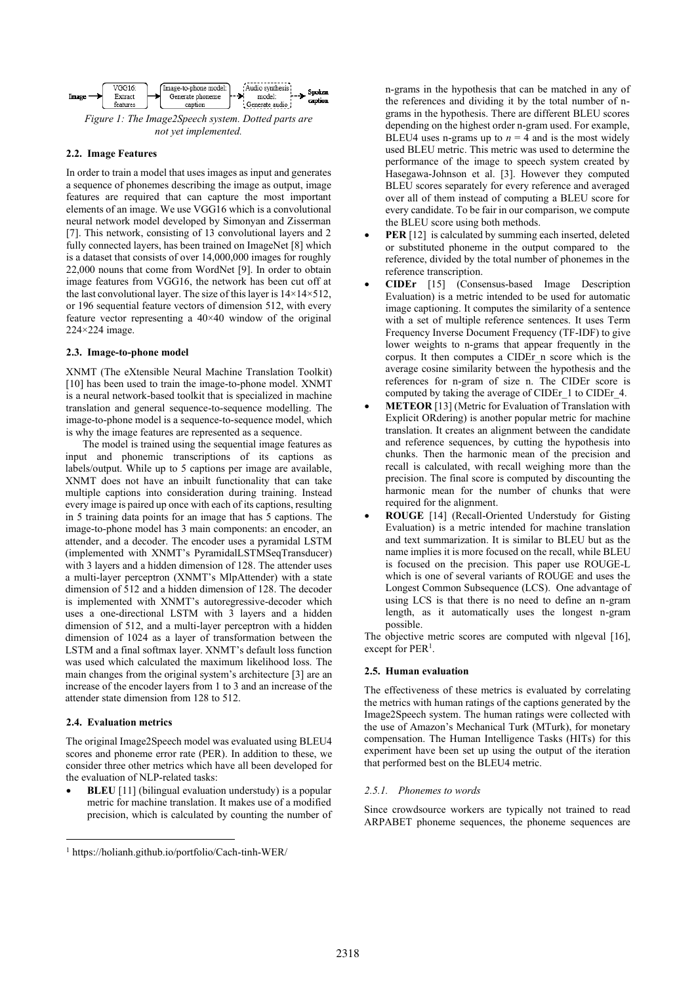

#### **2.2. Image Features**

In order to train a model that uses images as input and generates a sequence of phonemes describing the image as output, image features are required that can capture the most important elements of an image. We use VGG16 which is a convolutional neural network model developed by Simonyan and Zisserman [7]. This network, consisting of 13 convolutional layers and 2 fully connected layers, has been trained on ImageNet [8] which is a dataset that consists of over 14,000,000 images for roughly 22,000 nouns that come from WordNet [9]. In order to obtain image features from VGG16, the network has been cut off at the last convolutional layer. The size of this layer is  $14\times14\times512$ , or 196 sequential feature vectors of dimension 512, with every feature vector representing a 40×40 window of the original 224×224 image.

#### **2.3. Image-to-phone model**

XNMT (The eXtensible Neural Machine Translation Toolkit) [10] has been used to train the image-to-phone model. XNMT is a neural network-based toolkit that is specialized in machine translation and general sequence-to-sequence modelling. The image-to-phone model is a sequence-to-sequence model, which is why the image features are represented as a sequence.

The model is trained using the sequential image features as input and phonemic transcriptions of its captions as labels/output. While up to 5 captions per image are available, XNMT does not have an inbuilt functionality that can take multiple captions into consideration during training. Instead every image is paired up once with each of its captions, resulting in 5 training data points for an image that has 5 captions. The image-to-phone model has 3 main components: an encoder, an attender, and a decoder. The encoder uses a pyramidal LSTM (implemented with XNMT's PyramidalLSTMSeqTransducer) with 3 layers and a hidden dimension of 128. The attender uses a multi-layer perceptron (XNMT's MlpAttender) with a state dimension of 512 and a hidden dimension of 128. The decoder is implemented with XNMT's autoregressive-decoder which uses a one-directional LSTM with 3 layers and a hidden dimension of 512, and a multi-layer perceptron with a hidden dimension of 1024 as a layer of transformation between the LSTM and a final softmax layer. XNMT's default loss function was used which calculated the maximum likelihood loss. The main changes from the original system's architecture [3] are an increase of the encoder layers from 1 to 3 and an increase of the attender state dimension from 128 to 512.

#### **2.4. Evaluation metrics**

The original Image2Speech model was evaluated using BLEU4 scores and phoneme error rate (PER). In addition to these, we consider three other metrics which have all been developed for the evaluation of NLP-related tasks:

**BLEU** [11] (bilingual evaluation understudy) is a popular metric for machine translation. It makes use of a modified precision, which is calculated by counting the number of n-grams in the hypothesis that can be matched in any of the references and dividing it by the total number of ngrams in the hypothesis. There are different BLEU scores depending on the highest order n-gram used. For example, BLEU4 uses n-grams up to  $n = 4$  and is the most widely used BLEU metric. This metric was used to determine the performance of the image to speech system created by Hasegawa-Johnson et al. [3]. However they computed BLEU scores separately for every reference and averaged over all of them instead of computing a BLEU score for every candidate. To be fair in our comparison, we compute the BLEU score using both methods.

- **PER** [12] is calculated by summing each inserted, deleted or substituted phoneme in the output compared to the reference, divided by the total number of phonemes in the reference transcription.
- **CIDEr** [15] (Consensus-based Image Description Evaluation) is a metric intended to be used for automatic image captioning. It computes the similarity of a sentence with a set of multiple reference sentences. It uses Term Frequency Inverse Document Frequency (TF-IDF) to give lower weights to n-grams that appear frequently in the corpus. It then computes a CIDEr\_n score which is the average cosine similarity between the hypothesis and the references for n-gram of size n. The CIDEr score is computed by taking the average of CIDEr\_1 to CIDEr\_4.
- **METEOR** [13] (Metric for Evaluation of Translation with Explicit ORdering) is another popular metric for machine translation. It creates an alignment between the candidate and reference sequences, by cutting the hypothesis into chunks. Then the harmonic mean of the precision and recall is calculated, with recall weighing more than the precision. The final score is computed by discounting the harmonic mean for the number of chunks that were required for the alignment.
- **ROUGE** [14] (Recall-Oriented Understudy for Gisting Evaluation) is a metric intended for machine translation and text summarization. It is similar to BLEU but as the name implies it is more focused on the recall, while BLEU is focused on the precision. This paper use ROUGE-L which is one of several variants of ROUGE and uses the Longest Common Subsequence (LCS). One advantage of using LCS is that there is no need to define an n-gram length, as it automatically uses the longest n-gram possible.

The objective metric scores are computed with nlgeval [16], except for PER<sup>1</sup>.

#### **2.5. Human evaluation**

The effectiveness of these metrics is evaluated by correlating the metrics with human ratings of the captions generated by the Image2Speech system. The human ratings were collected with the use of Amazon's Mechanical Turk (MTurk), for monetary compensation. The Human Intelligence Tasks (HITs) for this experiment have been set up using the output of the iteration that performed best on the BLEU4 metric.

#### *2.5.1. Phonemes to words*

Since crowdsource workers are typically not trained to read ARPABET phoneme sequences, the phoneme sequences are

<sup>1</sup> https://holianh.github.io/portfolio/Cach-tinh-WER/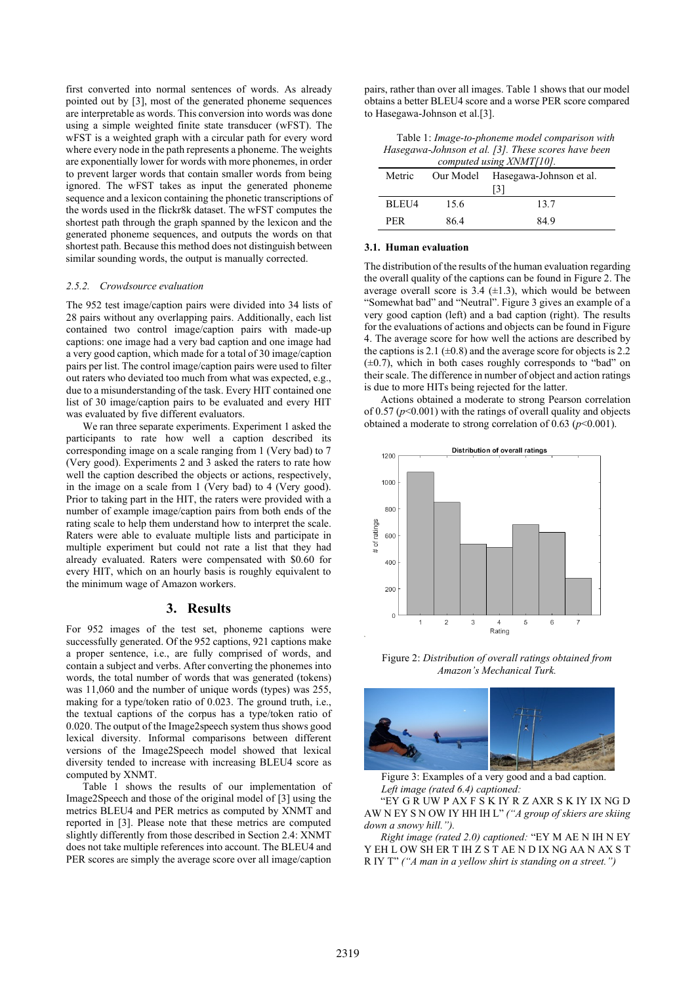first converted into normal sentences of words. As already pointed out by [3], most of the generated phoneme sequences are interpretable as words. This conversion into words was done using a simple weighted finite state transducer (wFST). The wFST is a weighted graph with a circular path for every word where every node in the path represents a phoneme. The weights are exponentially lower for words with more phonemes, in order to prevent larger words that contain smaller words from being ignored. The wFST takes as input the generated phoneme sequence and a lexicon containing the phonetic transcriptions of the words used in the flickr8k dataset. The wFST computes the shortest path through the graph spanned by the lexicon and the generated phoneme sequences, and outputs the words on that shortest path. Because this method does not distinguish between similar sounding words, the output is manually corrected.

#### *2.5.2. Crowdsource evaluation*

The 952 test image/caption pairs were divided into 34 lists of 28 pairs without any overlapping pairs. Additionally, each list contained two control image/caption pairs with made-up captions: one image had a very bad caption and one image had a very good caption, which made for a total of 30 image/caption pairs per list. The control image/caption pairs were used to filter out raters who deviated too much from what was expected, e.g., due to a misunderstanding of the task. Every HIT contained one list of 30 image/caption pairs to be evaluated and every HIT was evaluated by five different evaluators.

We ran three separate experiments. Experiment 1 asked the participants to rate how well a caption described its corresponding image on a scale ranging from 1 (Very bad) to 7 (Very good). Experiments 2 and 3 asked the raters to rate how well the caption described the objects or actions, respectively, in the image on a scale from 1 (Very bad) to 4 (Very good). Prior to taking part in the HIT, the raters were provided with a number of example image/caption pairs from both ends of the rating scale to help them understand how to interpret the scale. Raters were able to evaluate multiple lists and participate in multiple experiment but could not rate a list that they had already evaluated. Raters were compensated with \$0*.*60 for every HIT, which on an hourly basis is roughly equivalent to the minimum wage of Amazon workers.

### **3. Results**

For 952 images of the test set, phoneme captions were successfully generated. Of the 952 captions, 921 captions make a proper sentence, i.e., are fully comprised of words, and contain a subject and verbs. After converting the phonemes into words, the total number of words that was generated (tokens) was 11,060 and the number of unique words (types) was 255, making for a type/token ratio of 0.023. The ground truth, i.e., the textual captions of the corpus has a type/token ratio of 0.020. The output of the Image2speech system thus shows good lexical diversity. Informal comparisons between different versions of the Image2Speech model showed that lexical diversity tended to increase with increasing BLEU4 score as computed by XNMT.

Table 1 shows the results of our implementation of Image2Speech and those of the original model of [3] using the metrics BLEU4 and PER metrics as computed by XNMT and reported in [3]. Please note that these metrics are computed slightly differently from those described in Section 2.4: XNMT does not take multiple references into account. The BLEU4 and PER scores are simply the average score over all image/caption

pairs, rather than over all images. Table 1 shows that our model obtains a better BLEU4 score and a worse PER score compared to Hasegawa-Johnson et al.[3].

Table 1: *Image-to-phoneme model comparison with Hasegawa-Johnson et al. [3]. These scores have been computed using XNMT[10].*

| $\epsilon$ omputeu using zu vin 1710). |      |                                   |  |  |  |
|----------------------------------------|------|-----------------------------------|--|--|--|
| Metric                                 |      | Our Model Hasegawa-Johnson et al. |  |  |  |
|                                        |      | $\overline{131}$                  |  |  |  |
| BLEU4                                  | 15.6 | 13.7                              |  |  |  |
| PER                                    | 864  | 849                               |  |  |  |

#### **3.1. Human evaluation**

The distribution of the results of the human evaluation regarding the overall quality of the captions can be found in Figure 2. The average overall score is  $3.4$  ( $\pm$ 1.3), which would be between "Somewhat bad" and "Neutral". Figure 3 gives an example of a very good caption (left) and a bad caption (right). The results for the evaluations of actions and objects can be found in Figure 4. The average score for how well the actions are described by the captions is 2.1 ( $\pm$ 0.8) and the average score for objects is 2.2  $(\pm 0.7)$ , which in both cases roughly corresponds to "bad" on their scale. The difference in number of object and action ratings is due to more HITs being rejected for the latter.

Actions obtained a moderate to strong Pearson correlation of  $0.57 (p<0.001)$  with the ratings of overall quality and objects obtained a moderate to strong correlation of  $0.63$  ( $p<0.001$ ).



Figure 2: *Distribution of overall ratings obtained from Amazon's Mechanical Turk.*



Figure 3: Examples of a very good and a bad caption. *Left image (rated 6.4) captioned:*

"EY G R UW P AX F S K IY R Z AXR S K IY IX NG D AW N EY S N OW IY HH IH L" *("A group of skiers are skiing down a snowy hill.").* 

*Right image (rated 2.0) captioned:* "EY M AE N IH N EY Y EH L OW SH ER T IH Z S T AE N D IX NG AA N AX S T R IY T" *("A man in a yellow shirt is standing on a street.")*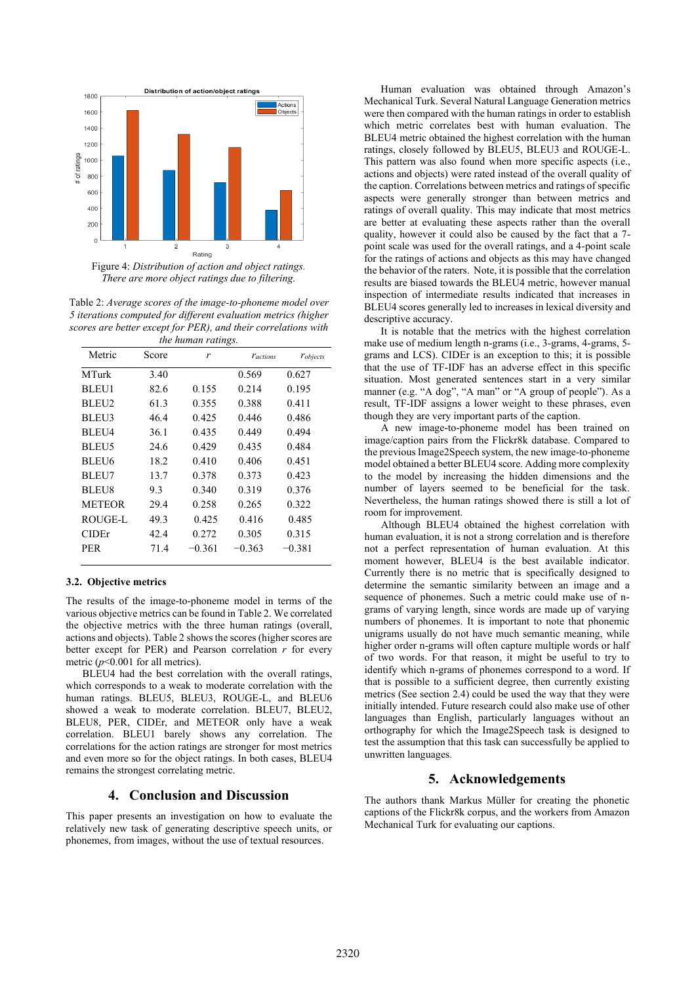

*There are more object ratings due to filtering.*

Table 2: *Average scores of the image-to-phoneme model over 5 iterations computed for different evaluation metrics (higher scores are better except for PER), and their correlations with the human ratings.*

|                   | $\cdots$ |          |                        |                  |  |  |  |
|-------------------|----------|----------|------------------------|------------------|--|--|--|
| Metric            | Score    | r        | <b><i>Tactions</i></b> | <b>T</b> objects |  |  |  |
| <b>MTurk</b>      | 3.40     |          | 0.569                  | 0.627            |  |  |  |
| <b>BLEU1</b>      | 82.6     | 0.155    | 0.214                  | 0.195            |  |  |  |
| BLEU2             | 61.3     | 0.355    | 0.388                  | 0.411            |  |  |  |
| BLEU3             | 46.4     | 0.425    | 0.446                  | 0.486            |  |  |  |
| BLEU4             | 36.1     | 0.435    | 0.449                  | 0.494            |  |  |  |
| BLEU5             | 24.6     | 0.429    | 0.435                  | 0.484            |  |  |  |
| BLEU <sub>6</sub> | 18.2     | 0.410    | 0.406                  | 0.451            |  |  |  |
| BLEU7             | 13.7     | 0.378    | 0.373                  | 0.423            |  |  |  |
| <b>BLEU8</b>      | 9.3      | 0.340    | 0.319                  | 0.376            |  |  |  |
| <b>METEOR</b>     | 29.4     | 0.258    | 0.265                  | 0.322            |  |  |  |
| ROUGE-L           | 49.3     | 0.425    | 0.416                  | 0.485            |  |  |  |
| <b>CIDEr</b>      | 42.4     | 0.272    | 0.305                  | 0.315            |  |  |  |
| <b>PER</b>        | 71.4     | $-0.361$ | $-0.363$               | $-0.381$         |  |  |  |

#### **3.2. Objective metrics**

The results of the image-to-phoneme model in terms of the various objective metrics can be found in Table 2. We correlated the objective metrics with the three human ratings (overall, actions and objects). Table 2 shows the scores (higher scores are better except for PER) and Pearson correlation *r* for every metric  $(p<0.001$  for all metrics).

BLEU4 had the best correlation with the overall ratings, which corresponds to a weak to moderate correlation with the human ratings. BLEU5, BLEU3, ROUGE-L, and BLEU6 showed a weak to moderate correlation. BLEU7, BLEU2, BLEU8, PER, CIDEr, and METEOR only have a weak correlation. BLEU1 barely shows any correlation. The correlations for the action ratings are stronger for most metrics and even more so for the object ratings. In both cases, BLEU4 remains the strongest correlating metric.

## **4. Conclusion and Discussion**

This paper presents an investigation on how to evaluate the relatively new task of generating descriptive speech units, or phonemes, from images, without the use of textual resources.

Human evaluation was obtained through Amazon's Mechanical Turk. Several Natural Language Generation metrics were then compared with the human ratings in order to establish which metric correlates best with human evaluation. The BLEU4 metric obtained the highest correlation with the human ratings, closely followed by BLEU5, BLEU3 and ROUGE-L. This pattern was also found when more specific aspects (i.e., actions and objects) were rated instead of the overall quality of the caption. Correlations between metrics and ratings of specific aspects were generally stronger than between metrics and ratings of overall quality. This may indicate that most metrics are better at evaluating these aspects rather than the overall quality, however it could also be caused by the fact that a 7 point scale was used for the overall ratings, and a 4-point scale for the ratings of actions and objects as this may have changed the behavior of the raters. Note, it is possible that the correlation results are biased towards the BLEU4 metric, however manual inspection of intermediate results indicated that increases in BLEU4 scores generally led to increases in lexical diversity and descriptive accuracy.

It is notable that the metrics with the highest correlation make use of medium length n-grams (i.e., 3-grams, 4-grams, 5 grams and LCS). CIDEr is an exception to this; it is possible that the use of TF-IDF has an adverse effect in this specific situation. Most generated sentences start in a very similar manner (e.g. "A dog", "A man" or "A group of people"). As a result, TF-IDF assigns a lower weight to these phrases, even though they are very important parts of the caption.

A new image-to-phoneme model has been trained on image/caption pairs from the Flickr8k database. Compared to the previous Image2Speech system, the new image-to-phoneme model obtained a better BLEU4 score. Adding more complexity to the model by increasing the hidden dimensions and the number of layers seemed to be beneficial for the task. Nevertheless, the human ratings showed there is still a lot of room for improvement.

Although BLEU4 obtained the highest correlation with human evaluation, it is not a strong correlation and is therefore not a perfect representation of human evaluation. At this moment however, BLEU4 is the best available indicator. Currently there is no metric that is specifically designed to determine the semantic similarity between an image and a sequence of phonemes. Such a metric could make use of ngrams of varying length, since words are made up of varying numbers of phonemes. It is important to note that phonemic unigrams usually do not have much semantic meaning, while higher order n-grams will often capture multiple words or half of two words. For that reason, it might be useful to try to identify which n-grams of phonemes correspond to a word. If that is possible to a sufficient degree, then currently existing metrics (See section 2.4) could be used the way that they were initially intended. Future research could also make use of other languages than English, particularly languages without an orthography for which the Image2Speech task is designed to test the assumption that this task can successfully be applied to unwritten languages.

### **5. Acknowledgements**

The authors thank Markus Müller for creating the phonetic captions of the Flickr8k corpus, and the workers from Amazon Mechanical Turk for evaluating our captions.